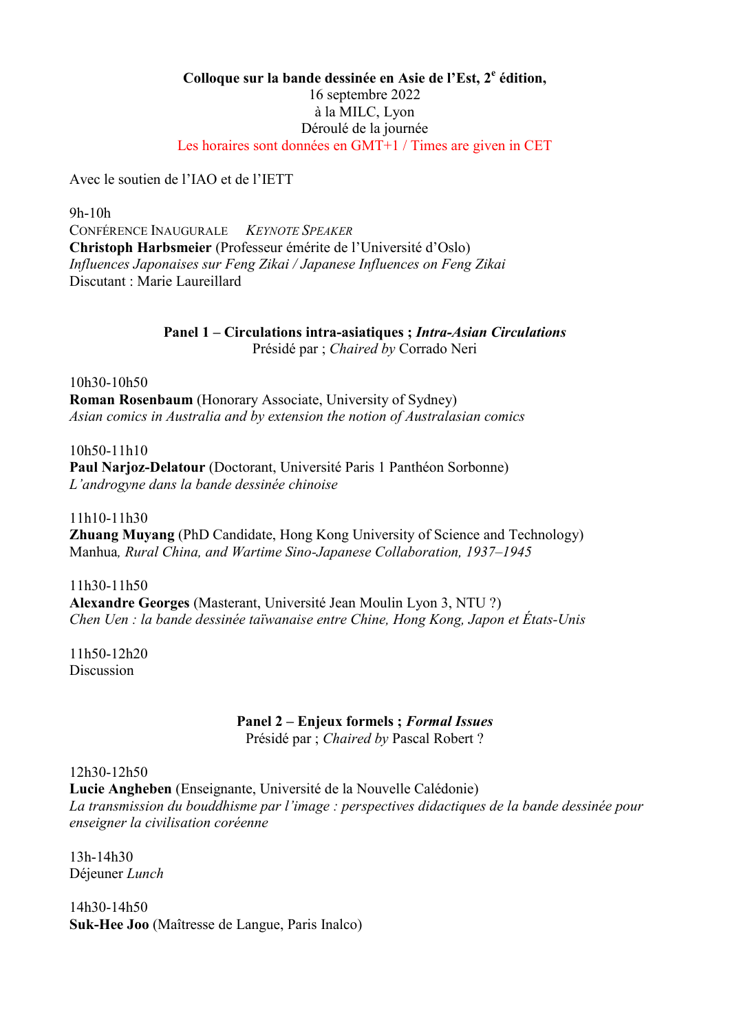## Colloque sur la bande dessinée en Asie de l'Est, 2<sup>e</sup> édition, 16 septembre 2022 à la MILC, Lyon Déroulé de la journée Les horaires sont données en GMT+1 / Times are given in CET

Avec le soutien de l'IAO et de l'IETT

9h-10h CONFÉRENCE INAUGURALE KEYNOTE SPEAKER Christoph Harbsmeier (Professeur émérite de l'Université d'Oslo) Influences Japonaises sur Feng Zikai / Japanese Influences on Feng Zikai Discutant : Marie Laureillard

## Panel 1 – Circulations intra-asiatiques ; Intra-Asian Circulations Présidé par ; Chaired by Corrado Neri

10h30-10h50 Roman Rosenbaum (Honorary Associate, University of Sydney) Asian comics in Australia and by extension the notion of Australasian comics

10h50-11h10 Paul Narioz-Delatour (Doctorant, Université Paris 1 Panthéon Sorbonne) L'androgyne dans la bande dessinée chinoise

11h10-11h30 Zhuang Muyang (PhD Candidate, Hong Kong University of Science and Technology) Manhua, Rural China, and Wartime Sino-Japanese Collaboration, 1937–1945

11h30-11h50 Alexandre Georges (Masterant, Université Jean Moulin Lyon 3, NTU ?) Chen Uen : la bande dessinée taïwanaise entre Chine, Hong Kong, Japon et États-Unis

11h50-12h20 **Discussion** 

## Panel 2 – Enjeux formels ; Formal Issues

Présidé par ; Chaired by Pascal Robert ?

12h30-12h50

Lucie Angheben (Enseignante, Université de la Nouvelle Calédonie) La transmission du bouddhisme par l'image : perspectives didactiques de la bande dessinée pour enseigner la civilisation coréenne

13h-14h30 Déjeuner Lunch

14h30-14h50 Suk-Hee Joo (Maîtresse de Langue, Paris Inalco)